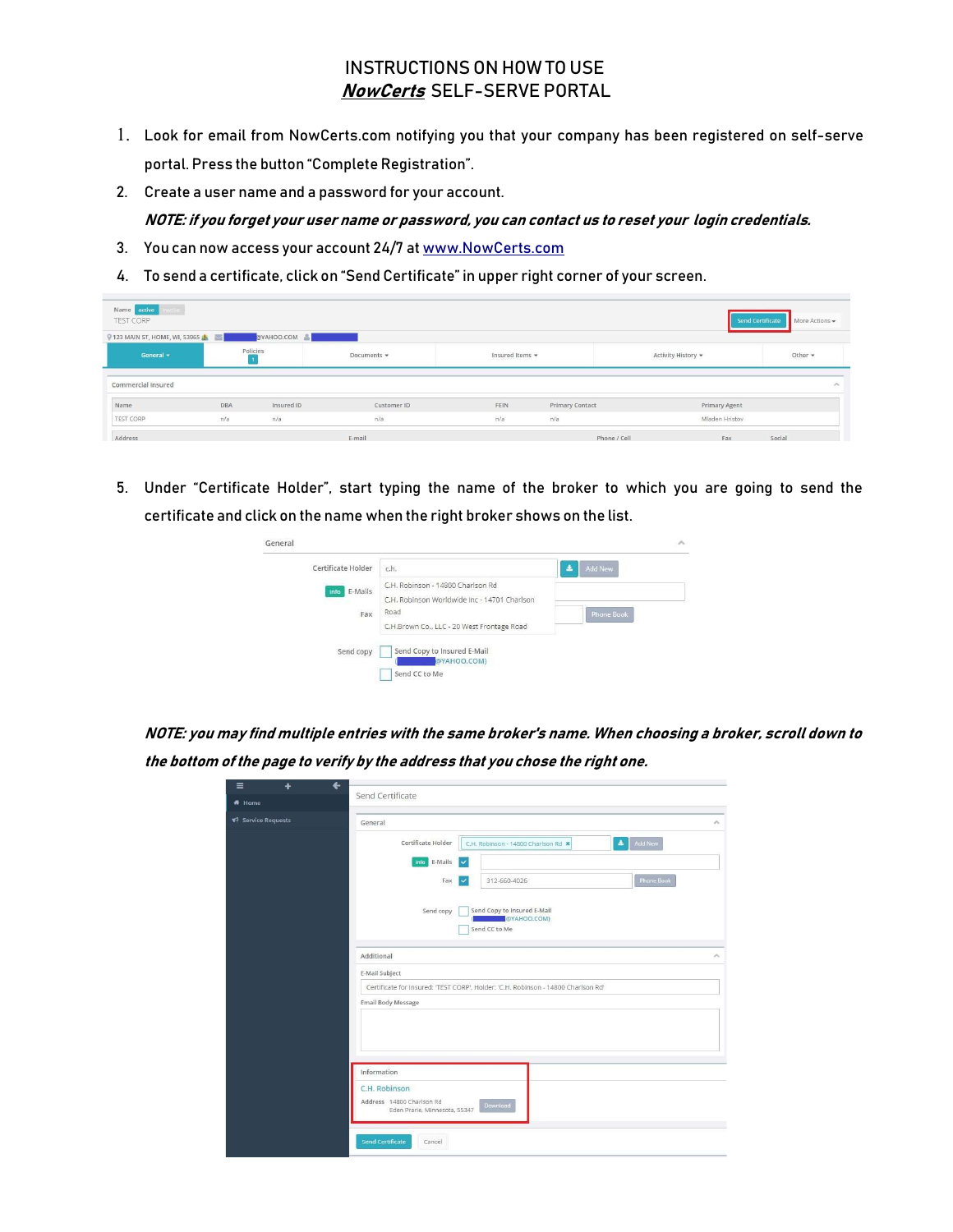## INSTRUCTIONS ON HOW TO USE NowCerts SELF-SERVE PORTAL

- 1. Look for email from NowCerts.com notifying you that your company has been registered on self-serve portal. Press the button "Complete Registration".
- 2. Create a user name and a password for your account. NOTE: if you forget your user name or password, you can contact us to reset your login credentials.
- 3. You can now access your account 24/7 at www.NowCerts.com
- 4. To send a certificate, click on "Send Certificate" in upper right corner of your screen.

| Name arrive<br>salies)<br>TEST CORP<br><b>V</b> 123 MAIN ST, HOME, WI, 53965 |          | @YAHOO.COM |             |                 |                 |              |                      | Send Certificate   More Actions - |
|------------------------------------------------------------------------------|----------|------------|-------------|-----------------|-----------------|--------------|----------------------|-----------------------------------|
| General +                                                                    | Policies |            | Documents - | Insured Items - |                 |              | Activity History *   | Other $\sim$                      |
| Commercial Insured                                                           |          |            |             |                 |                 |              |                      | $\mathcal{P}_{\mathbf{u}}$        |
| Name                                                                         | DBA      | Insured ID | Customer ID | FEIN            | Primary Contact |              | <b>Primary Agent</b> |                                   |
| TEST CORP                                                                    | n/a      | n/a        | n/a         | n/a             | n/a             |              | Mladen Hristov       |                                   |
| Address                                                                      |          |            | E-mail      |                 |                 | Phone / Cell | Fax                  | Social                            |

5. Under "Certificate Holder", start typing the name of the broker to which you are going to send the certificate and click on the name when the right broker shows on the list.



NOTE: you may find multiple entries with the same broker's name. When choosing a broker, scroll down to the bottom of the page to verify by the address that you chose the right one.

| $\equiv$<br>٠      | $\leftarrow$                                                                            |
|--------------------|-----------------------------------------------------------------------------------------|
| <b>ff</b> Home     | Send Certificate                                                                        |
| ₹ Service Requests | General<br>$\mathcal{L}_{\mathbf{L}}$                                                   |
|                    | $\Delta$<br>Certificate Holder<br>Add New<br>C.H. Robinson - 14800 Charlson Rd *        |
|                    | info E-Mails<br>$\checkmark$                                                            |
|                    | <b>Phone Book</b><br>312-660-4026<br>Fax<br>$\checkmark$                                |
|                    | Send Copy to Insured E-Mail<br>Send copy<br>@YAHOO.COM)<br>Send CC to Me                |
|                    | Additional<br>$\sim$                                                                    |
|                    | E-Mail Subject                                                                          |
|                    | Certificate for Insured: 'TEST CORP', Holder: 'C.H. Robinson - 14800 Charlson Rd'       |
|                    | <b>Email Body Message</b>                                                               |
|                    |                                                                                         |
|                    | Information                                                                             |
|                    | C.H. Robinson<br>Address 14800 Charlson Rd<br>Download<br>Eden Prarie, Minnesota, 55347 |
|                    | <b>Send Certificate</b><br>Cancel                                                       |